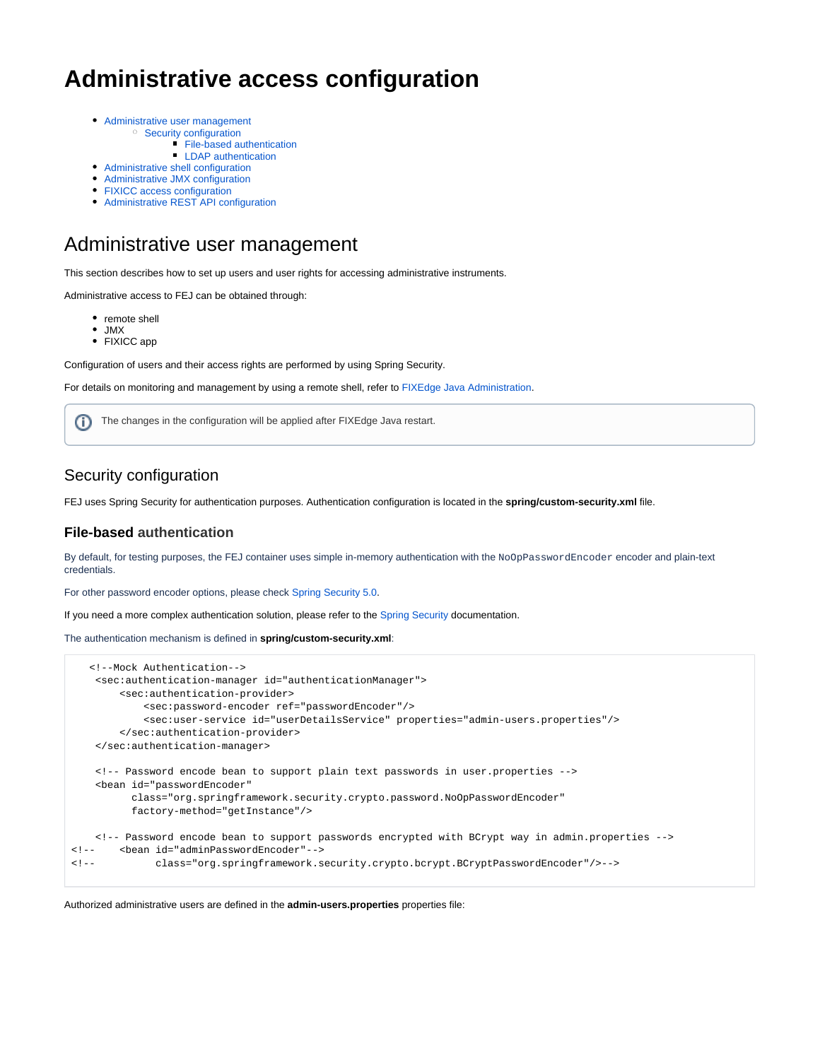# **Administrative access configuration**

- [Administrative user management](#page-0-0)
	- <sup>o</sup> [Security configuration](#page-0-1)
		- **[File-based authentication](#page-0-2)**
		- **LDAP** authentication
- [Administrative shell configuration](#page-2-0)
- [Administrative JMX configuration](#page-2-1)
- [FIXICC access configuration](#page-3-0)
- [Administrative REST API configuration](#page-3-1)

### <span id="page-0-0"></span>Administrative user management

This section describes how to set up users and user rights for accessing administrative instruments.

Administrative access to FEJ can be obtained through:

- remote shell
- JMX
- FIXICC app

Configuration of users and their access rights are performed by using Spring Security.

For details on monitoring and management by using a remote shell, refer to [FIXEdge Java Administration.](https://kb.b2bits.com/display/B2BITS/FIXEdge+Java+Administration)

The changes in the configuration will be applied after FIXEdge Java restart.G)

#### <span id="page-0-1"></span>Security configuration

FEJ uses Spring Security for authentication purposes. Authentication configuration is located in the **spring/custom-security.xml** file.

#### <span id="page-0-2"></span>**File-based authentication**

By default, for testing purposes, the FEJ container uses simple in-memory authentication with the NoOpPasswordEncoder encoder and plain-text credentials.

For other password encoder options, please check [Spring Security 5.0](https://docs.spring.io/spring-security/site/docs/current/reference/htmlsingle/#pe-dpe).

If you need a more complex authentication solution, please refer to the [Spring Security](https://docs.spring.io/spring-security/site/docs/current/reference/htmlsingle/) documentation.

The authentication mechanism is defined in **spring/custom-security.xml**:

```
 <!--Mock Authentication-->
    <sec:authentication-manager id="authenticationManager">
        <sec:authentication-provider>
            <sec:password-encoder ref="passwordEncoder"/>
             <sec:user-service id="userDetailsService" properties="admin-users.properties"/>
        </sec:authentication-provider>
    </sec:authentication-manager>
    <!-- Password encode bean to support plain text passwords in user.properties -->
     <bean id="passwordEncoder"
          class="org.springframework.security.crypto.password.NoOpPasswordEncoder"
          factory-method="getInstance"/>
     <!-- Password encode bean to support passwords encrypted with BCrypt way in admin.properties -->
<!-- <bean id="adminPasswordEncoder"-->
<!-- class="org.springframework.security.crypto.bcrypt.BCryptPasswordEncoder"/>-->
```

```
Authorized administrative users are defined in the admin-users.properties properties file:
```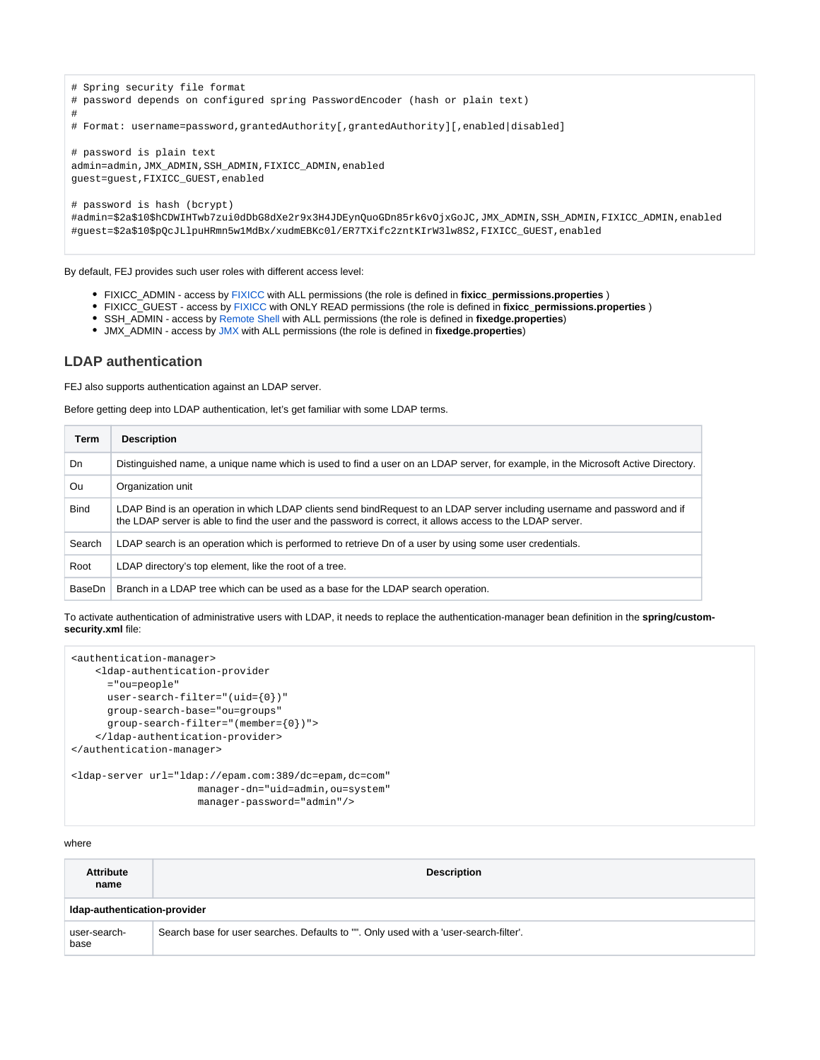```
# Spring security file format
# password depends on configured spring PasswordEncoder (hash or plain text)
#
# Format: username=password,grantedAuthority[,grantedAuthority][,enabled|disabled]
# password is plain text
admin=admin,JMX_ADMIN,SSH_ADMIN,FIXICC_ADMIN,enabled
guest=guest,FIXICC_GUEST,enabled
# password is hash (bcrypt)
#admin=$2a$10$hCDWIHTwb7zui0dDbG8dXe2r9x3H4JDEynQuoGDn85rk6vOjxGoJC,JMX_ADMIN,SSH_ADMIN,FIXICC_ADMIN,enabled
#guest=$2a$10$pQcJLlpuHRmn5w1MdBx/xudmEBKc0l/ER7TXifc2zntKIrW3lw8S2,FIXICC_GUEST,enabled
```
By default, FEJ provides such user roles with different access level:

- FIXICC\_ADMIN access by [FIXICC](https://kb.b2bits.com/pages/viewpage.action?pageId=55738513) with ALL permissions (the role is defined in **fixicc\_permissions.properties** )
- FIXICC\_GUEST access by [FIXICC](https://kb.b2bits.com/pages/viewpage.action?pageId=55738513) with ONLY READ permissions (the role is defined in **fixicc\_permissions.properties** )
- **SSH\_ADMIN access by [Remote Shell](https://kb.b2bits.com/display/B2BITS/FIXEdge+Java+Administration#FIXEdgeJavaAdministration-Monitoringandmanagementusingremoteshell) with ALL permissions (the role is defined in fixedge.properties)**
- JMX\_ADMIN access by [JMX](https://kb.b2bits.com/display/B2BITS/FIXEdge+Java+Administration#FIXEdgeJavaAdministration-ManagementoverJMX) with ALL permissions (the role is defined in **fixedge.properties**)

#### <span id="page-1-0"></span>**LDAP authentication**

FEJ also supports authentication against an LDAP server.

Before getting deep into LDAP authentication, let's get familiar with some LDAP terms.

| <b>Term</b> | <b>Description</b>                                                                                                                                                                                                                      |
|-------------|-----------------------------------------------------------------------------------------------------------------------------------------------------------------------------------------------------------------------------------------|
| Dn.         | Distinguished name, a unique name which is used to find a user on an LDAP server, for example, in the Microsoft Active Directory.                                                                                                       |
| Ou          | Organization unit                                                                                                                                                                                                                       |
| <b>Bind</b> | LDAP Bind is an operation in which LDAP clients send bindRequest to an LDAP server including username and password and if<br>the LDAP server is able to find the user and the password is correct, it allows access to the LDAP server. |
| Search      | LDAP search is an operation which is performed to retrieve Dn of a user by using some user credentials.                                                                                                                                 |
| Root        | LDAP directory's top element, like the root of a tree.                                                                                                                                                                                  |
| BaseDn      | Branch in a LDAP tree which can be used as a base for the LDAP search operation.                                                                                                                                                        |

To activate authentication of administrative users with LDAP, it needs to replace the authentication-manager bean definition in the **spring/customsecurity.xml** file:

```
<authentication-manager>
     <ldap-authentication-provider
      ="ou=people"
      user-search-filter="(uid={0})"
      group-search-base="ou=groups"
      group-search-filter="(member={0})">
     </ldap-authentication-provider>
</authentication-manager>
<ldap-server url="ldap://epam.com:389/dc=epam,dc=com" 
                      manager-dn="uid=admin,ou=system"
```
manager-password="admin"/>

#### where

| <b>Attribute</b><br>name     | <b>Description</b>                                                                    |  |  |  |
|------------------------------|---------------------------------------------------------------------------------------|--|--|--|
| Idap-authentication-provider |                                                                                       |  |  |  |
| user-search-<br>base         | Search base for user searches. Defaults to "". Only used with a 'user-search-filter'. |  |  |  |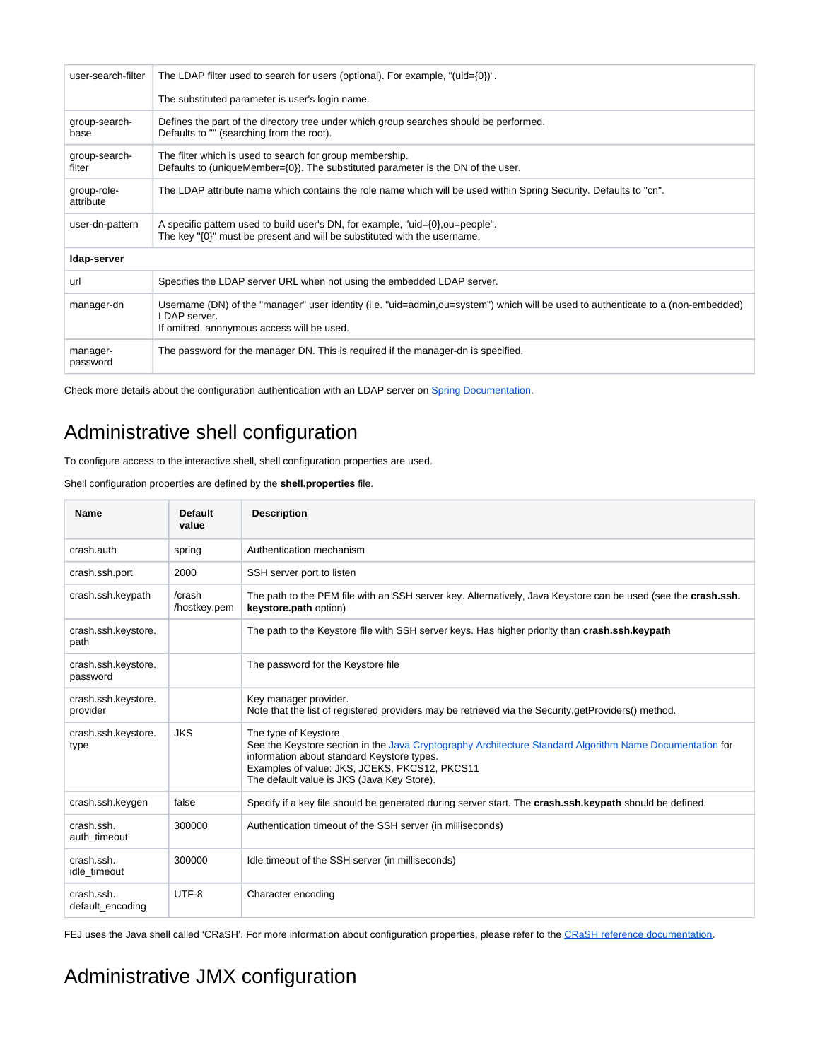| user-search-filter       | The LDAP filter used to search for users (optional). For example, "(uid= $\{0\}$ )".                                                                                                            |  |  |  |
|--------------------------|-------------------------------------------------------------------------------------------------------------------------------------------------------------------------------------------------|--|--|--|
|                          | The substituted parameter is user's login name.                                                                                                                                                 |  |  |  |
| group-search-<br>base    | Defines the part of the directory tree under which group searches should be performed.<br>Defaults to "" (searching from the root).                                                             |  |  |  |
| group-search-<br>filter  | The filter which is used to search for group membership.<br>Defaults to (uniqueMember={0}). The substituted parameter is the DN of the user.                                                    |  |  |  |
| group-role-<br>attribute | The LDAP attribute name which contains the role name which will be used within Spring Security. Defaults to "cn".                                                                               |  |  |  |
| user-dn-pattern          | A specific pattern used to build user's DN, for example, "uid={0}, ou=people".<br>The key $\langle 0 \rangle$ must be present and will be substituted with the username.                        |  |  |  |
| Idap-server              |                                                                                                                                                                                                 |  |  |  |
| url                      | Specifies the LDAP server URL when not using the embedded LDAP server.                                                                                                                          |  |  |  |
| manager-dn               | Username (DN) of the "manager" user identity (i.e. "uid=admin,ou=system") which will be used to authenticate to a (non-embedded)<br>I DAP server.<br>If omitted, anonymous access will be used. |  |  |  |
| manager-<br>password     | The password for the manager DN. This is required if the manager-dn is specified.                                                                                                               |  |  |  |

Check more details about the configuration authentication with an LDAP server on [Spring Documentation.](https://docs.spring.io/spring-security/site/docs/5.1.5.RELEASE/reference/htmlsingle/#ldap)

## <span id="page-2-0"></span>Administrative shell configuration

To configure access to the interactive shell, shell configuration properties are used.

Shell configuration properties are defined by the **shell.properties** file.

| <b>Name</b>                     | Default<br>value       | <b>Description</b>                                                                                                                                                                                                                                                             |
|---------------------------------|------------------------|--------------------------------------------------------------------------------------------------------------------------------------------------------------------------------------------------------------------------------------------------------------------------------|
| crash.auth                      | spring                 | Authentication mechanism                                                                                                                                                                                                                                                       |
| crash.ssh.port                  | 2000                   | SSH server port to listen                                                                                                                                                                                                                                                      |
| crash.ssh.keypath               | /crash<br>/hostkey.pem | The path to the PEM file with an SSH server key. Alternatively, Java Keystore can be used (see the crash.ssh.<br>keystore.path option)                                                                                                                                         |
| crash.ssh.keystore.<br>path     |                        | The path to the Keystore file with SSH server keys. Has higher priority than crash.ssh.keypath                                                                                                                                                                                 |
| crash.ssh.keystore.<br>password |                        | The password for the Keystore file                                                                                                                                                                                                                                             |
| crash.ssh.keystore.<br>provider |                        | Key manager provider.<br>Note that the list of registered providers may be retrieved via the Security getProviders() method.                                                                                                                                                   |
| crash.ssh.keystore.<br>type     | <b>JKS</b>             | The type of Keystore.<br>See the Keystore section in the Java Cryptography Architecture Standard Algorithm Name Documentation for<br>information about standard Keystore types.<br>Examples of value: JKS, JCEKS, PKCS12, PKCS11<br>The default value is JKS (Java Key Store). |
| crash.ssh.keygen                | false                  | Specify if a key file should be generated during server start. The crash.ssh.keypath should be defined.                                                                                                                                                                        |
| crash.ssh.<br>auth timeout      | 300000                 | Authentication timeout of the SSH server (in milliseconds)                                                                                                                                                                                                                     |
| crash.ssh.<br>idle_timeout      | 300000                 | Idle timeout of the SSH server (in milliseconds)                                                                                                                                                                                                                               |
| crash.ssh.<br>default_encoding  | UTF-8                  | Character encoding                                                                                                                                                                                                                                                             |

FEJ uses the Java shell called 'CRaSH'. For more information about configuration properties, please refer to the [CRaSH reference documentation.](http://www.crashub.org/1.3/reference.html)

## <span id="page-2-1"></span>Administrative JMX configuration